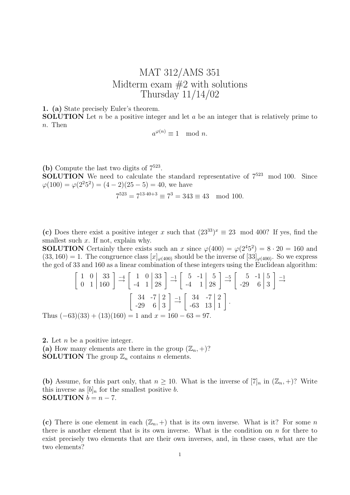## MAT 312/AMS 351 Midterm exam  $#2$  with solutions Thursday 11/14/02

1. (a) State precisely Euler's theorem.

**SOLUTION** Let n be a positive integer and let a be an integer that is relatively prime to n. Then

$$
a^{\varphi(n)} \equiv 1 \mod n.
$$

(b) Compute the last two digits of  $7^{523}$ .

**SOLUTION** We need to calculate the standard representative of  $7^{523}$  mod 100. Since  $\varphi(100) = \varphi(2^2 5^2) = (4 - 2)(25 - 5) = 40$ , we have

$$
7^{523} = 7^{13 \cdot 40 + 3} \equiv 7^3 = 343 \equiv 43 \mod 100.
$$

(c) Does there exist a positive integer x such that  $(23^{33})^x \equiv 23 \mod 400$ ? If yes, find the smallest such  $x$ . If not, explain why.

**SOLUTION** Certainly there exists such an x since  $\varphi(400) = \varphi(2^4 5^2) = 8 \cdot 20 = 160$  and  $(33, 160) = 1$ . The congruence class  $[x]_{\varphi(400)}$  should be the inverse of  $[33]_{\varphi(400)}$ . So we express the gcd of 33 and 160 as a linear combination of these integers using the Euclidean algorithm:

$$
\begin{bmatrix} 1 & 0 & 33 \\ 0 & 1 & 160 \end{bmatrix} \xrightarrow{-4} \begin{bmatrix} 1 & 0 & 33 \\ -4 & 1 & 28 \end{bmatrix} \xrightarrow{-1} \begin{bmatrix} 5 & -1 & 5 \\ -4 & 1 & 28 \end{bmatrix} \xrightarrow{-5} \begin{bmatrix} 5 & -1 & 5 \\ -29 & 6 & 3 \end{bmatrix} \xrightarrow{-1}
$$

$$
\begin{bmatrix} 34 & -7 & 2 \\ -29 & 6 & 3 \end{bmatrix} \xrightarrow{-1} \begin{bmatrix} 34 & -7 & 2 \\ -63 & 13 & 1 \end{bmatrix}.
$$
Thus  $(-63)(33) + (13)(160) = 1$  and  $x = 160 - 63 = 97.$ 

2. Let  $n$  be a positive integer. (a) How many elements are there in the group  $(\mathbb{Z}_n, +)$ ? **SOLUTION** The group  $\mathbb{Z}_n$  contains *n* elements.

(b) Assume, for this part only, that  $n \geq 10$ . What is the inverse of  $[7]_n$  in  $(\mathbb{Z}_n, +)$ ? Write this inverse as  $[b]_n$  for the smallest positive b. SOLUTION  $b = n - 7$ .

(c) There is one element in each  $(\mathbb{Z}_n, +)$  that is its own inverse. What is it? For some n there is another element that is its own inverse. What is the condition on  $n$  for there to exist precisely two elements that are their own inverses, and, in these cases, what are the two elements?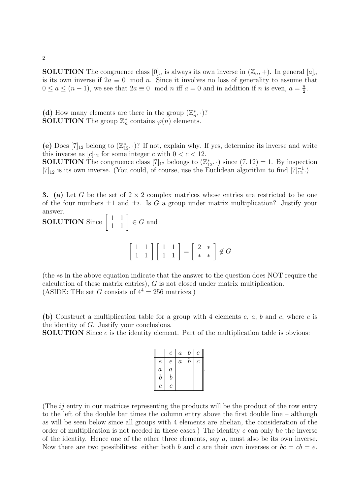**SOLUTION** The congruence class  $[0]_n$  is always its own inverse in  $(\mathbb{Z}_n, +)$ . In general  $[a]_n$ is its own inverse if  $2a \equiv 0 \mod n$ . Since it involves no loss of generality to assume that  $0 \le a \le (n-1)$ , we see that  $2a \equiv 0 \mod n$  iff  $a = 0$  and in addition if n is even,  $a = \frac{n}{2}$  $\frac{n}{2}$ .

(d) How many elements are there in the group  $(\mathbb{Z}_n^*, \cdot)$ ? **SOLUTION** The group  $\mathbb{Z}_n^*$  contains  $\varphi(n)$  elements.

(e) Does  $[7]_{12}$  belong to  $(\mathbb{Z}_{12}^*, \cdot)$ ? If not, explain why. If yes, determine its inverse and write this inverse as  $[c]_{12}$  for some integer c with  $0 < c < 12$ . **SOLUTION** The congruence class  $[7]_{12}$  belongs to  $(\mathbb{Z}_{12}^*, \cdot)$  since  $(7, 12) = 1$ . By inspection [7]<sub>12</sub> is its own inverse. (You could, of course, use the Euclidean algorithm to find [7]<sup>-1</sup><sub>12</sub>.)

3. (a) Let G be the set of  $2 \times 2$  complex matrices whose entries are restricted to be one of the four numbers  $\pm 1$  and  $\pm i$ . Is G a group under matrix multiplication? Justify your answer.

**SOLUTION** Since  $\begin{bmatrix} 1 & 1 \\ 1 & 1 \end{bmatrix} \in G$  and  $\left[\begin{array}{cc} 1 & 1 \\ 1 & 1 \end{array}\right] \left[\begin{array}{cc} 1 & 1 \\ 1 & 1 \end{array}\right] =$  $\left[\begin{array}{cc} 2 & * \\ * & * \end{array}\right] \notin G$ 

(the ∗s in the above equation indicate that the answer to the question does NOT require the calculation of these matrix entries), G is not closed under matrix multiplication. (ASIDE: THe set G consists of  $4^4 = 256$  matrices.)

(b) Construct a multiplication table for a group with 4 elements  $e$ ,  $a$ ,  $b$  and  $c$ , where  $e$  is the identity of G. Justify your conclusions.

SOLUTION Since e is the identity element. Part of the multiplication table is obvious:

|                  | $\epsilon$       | $\boldsymbol{a}$ | b       | С            |  |
|------------------|------------------|------------------|---------|--------------|--|
| $\,e\,$          | $\epsilon$       | $\boldsymbol{a}$ | $\it b$ | $\mathcal C$ |  |
| $\boldsymbol{a}$ | $\boldsymbol{a}$ |                  |         |              |  |
| $\boldsymbol{b}$ | $\boldsymbol{b}$ |                  |         |              |  |
| $\mathcal C$     | $\mathcal C$     |                  |         |              |  |

(The  $ij$  entry in our matrices representing the products will be the product of the row entry to the left of the double bar times the column entry above the first double line – although as will be seen below since all groups with 4 elements are abelian, the consideration of the order of multiplication is not needed in these cases.) The identity  $e$  can only be the inverse of the identity. Hence one of the other three elements, say  $a$ , must also be its own inverse. Now there are two possibilities: either both b and c are their own inverses or  $bc = cb = e$ .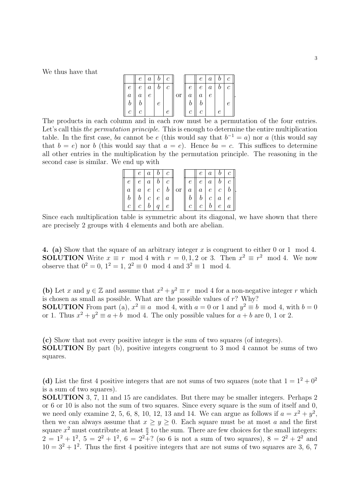We thus have that

|               | $\epsilon$ | $\it a$    |   | $\mathcal C$          |    |                | $e_{\perp}$      | $\boldsymbol{a}$ |            | $b \mid c$ |  |
|---------------|------------|------------|---|-----------------------|----|----------------|------------------|------------------|------------|------------|--|
| $\epsilon$    | $e_{-}$    | $\mid a$   | b | $\mathcal{C}_{0}^{0}$ |    | $\epsilon$     | e <sub>1</sub>   | $\boldsymbol{a}$ | $b \mid c$ |            |  |
| $\,a$         | $\,a$      | $\epsilon$ |   |                       | or | a <sub>1</sub> | $\boldsymbol{a}$ | $\epsilon$       |            |            |  |
|               |            |            | е |                       |    |                |                  |                  |            |            |  |
| $\mathcal{C}$ |            |            |   |                       |    | C              |                  |                  | e          |            |  |

The products in each column and in each row must be a permutation of the four entries. Let's call this the permutation principle. This is enough to determine the entire multiplication table. In the first case, ba cannot be e (this would say that  $b^{-1} = a$ ) nor a (this would say that  $b = e$ ) nor b (this would say that  $a = e$ ). Hence  $ba = c$ . This suffices to determine all other entries in the multiplication by the permutation principle. The reasoning in the second case is similar. We end up with

|             |                                 | $e \mid a \mid b \mid c$ |  |                                                                     |                         |                                 |                          | $e \mid a \mid b \mid c \mid$ |
|-------------|---------------------------------|--------------------------|--|---------------------------------------------------------------------|-------------------------|---------------------------------|--------------------------|-------------------------------|
| $e_{\perp}$ |                                 | $e \mid a \mid b \mid c$ |  |                                                                     | $\parallel e \parallel$ |                                 |                          | $e \mid a \mid b \mid c \mid$ |
|             | $a \parallel a \parallel$       |                          |  | $e \mid c \mid b \mid \text{or} \mid a \mid a \mid e \mid c \mid b$ |                         |                                 |                          |                               |
|             |                                 | $b \mid c \mid e \mid a$ |  |                                                                     |                         |                                 | $b \mid c \mid a \mid e$ |                               |
|             | $c \mid c \mid b \mid q \mid e$ |                          |  |                                                                     |                         | $c \mid c \mid b \mid e \mid a$ |                          |                               |

Since each multiplication table is symmetric about its diagonal, we have shown that there are precisely 2 groups with 4 elements and both are abelian.

4. (a) Show that the square of an arbitrary integer x is congruent to either 0 or 1 mod 4. **SOLUTION** Write  $x \equiv r \mod 4$  with  $r = 0, 1, 2$  or 3. Then  $x^2 \equiv r^2 \mod 4$ . We now observe that  $0^2 = 0$ ,  $1^2 = 1$ ,  $2^2 \equiv 0 \mod 4$  and  $3^2 \equiv 1 \mod 4$ .

(b) Let x and  $y \in \mathbb{Z}$  and assume that  $x^2 + y^2 \equiv r \mod 4$  for a non-negative integer r which is chosen as small as possible. What are the possible values of  $r$ ? Why? **SOLUTION** From part (a),  $x^2 \equiv a \mod 4$ , with  $a = 0$  or 1 and  $y^2 \equiv b \mod 4$ , with  $b = 0$ or 1. Thus  $x^2 + y^2 \equiv a + b \mod 4$ . The only possible values for  $a + b$  are 0, 1 or 2.

(c) Show that not every positive integer is the sum of two squares (of integers). SOLUTION By part (b), positive integers congruent to 3 mod 4 cannot be sums of two squares.

(d) List the first 4 positive integers that are not sums of two squares (note that  $1 = 1^2 + 0^2$ is a sum of two squares).

SOLUTION 3, 7, 11 and 15 are candidates. But there may be smaller integers. Perhaps 2 or 6 or 10 is also not the sum of two squares. Since every square is the sum of itself and 0, we need only examine 2, 5, 6, 8, 10, 12, 13 and 14. We can argue as follows if  $a = x^2 + y^2$ , then we can always assume that  $x \ge y \ge 0$ . Each square must be at most a and the first square  $x^2$  must contribute at least  $\frac{a}{2}$  to the sum. There are few choices for the small integers:  $2 = 1^2 + 1^2$ ,  $5 = 2^2 + 1^2$ ,  $6 = 2^2 + ?$  (so 6 is not a sum of two squares),  $8 = 2^2 + 2^2$  and  $10 = 3^2 + 1^2$ . Thus the first 4 positive integers that are not sums of two squares are 3, 6, 7